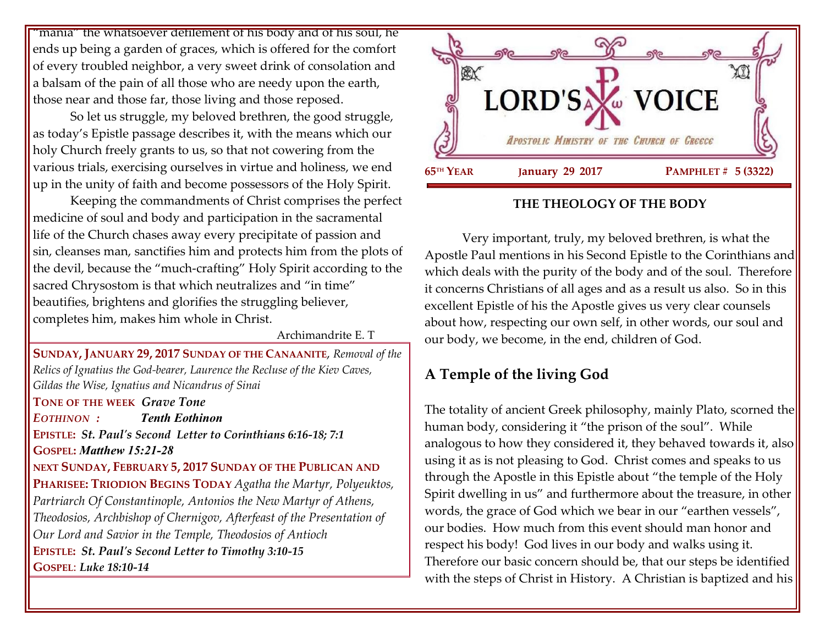"mania" the whatsoever defilement of his body and of his soul, he ends up being a garden of graces, which is offered for the comfort of every troubled neighbor, a very sweet drink of consolation and a balsam of the pain of all those who are needy upon the earth, those near and those far, those living and those reposed.

So let us struggle, my beloved brethren, the good struggle, as today's Epistle passage describes it, with the means which our holy Church freely grants to us, so that not cowering from the various trials, exercising ourselves in virtue and holiness, we end up in the unity of faith and become possessors of the Holy Spirit.

Keeping the commandments of Christ comprises the perfect medicine of soul and body and participation in the sacramental life of the Church chases away every precipitate of passion and sin, cleanses man, sanctifies him and protects him from the plots of the devil, because the "much-crafting" Holy Spirit according to the sacred Chrysostom is that which neutralizes and "in time" beautifies, brightens and glorifies the struggling believer, completes him, makes him whole in Christ.

Archimandrite E. T

**SUNDAY, JANUARY 29, 2017 SUNDAY OF THE CANAANITE**, *Removal of the Relics of Ignatius the God-bearer, Laurence the Recluse of the Kiev Caves, Gildas the Wise, Ignatius and Nicandrus of Sinai*  **TONE OF THE WEEK** *Grave Tone*

*EOTHINON : Tenth Eothinon* **EPISTLE:** *St. Paul's Second Letter to Corinthians 6:16-18; 7:1* **GOSPEL:** *Matthew 15:21-28* **NEXT SUNDAY, FEBRUARY 5, 2017 SUNDAY OF THE PUBLICAN AND PHARISEE: TRIODION BEGINS TODAY** *Agatha the Martyr, Polyeuktos, Partriarch Of Constantinople, Antonios the New Martyr of Athens, Theodosios, Archbishop of Chernigov, Afterfeast of the Presentation of Our Lord and Savior in the Temple, Theodosios of Antioch*

**EPISTLE:** *St. Paul's Second Letter to Timothy 3:10-15*  **GOSPEL**: *Luke 18:10-14*



# **THE THEOLOGY OF THE BODY**

Very important, truly, my beloved brethren, is what the Apostle Paul mentions in his Second Epistle to the Corinthians and which deals with the purity of the body and of the soul. Therefore it concerns Christians of all ages and as a result us also. So in this excellent Epistle of his the Apostle gives us very clear counsels about how, respecting our own self, in other words, our soul and our body, we become, in the end, children of God.

# **A Temple of the living God**

The totality of ancient Greek philosophy, mainly Plato, scorned the human body, considering it "the prison of the soul". While analogous to how they considered it, they behaved towards it, also using it as is not pleasing to God. Christ comes and speaks to us through the Apostle in this Epistle about "the temple of the Holy Spirit dwelling in us" and furthermore about the treasure, in other words, the grace of God which we bear in our "earthen vessels", our bodies. How much from this event should man honor and respect his body! God lives in our body and walks using it. Therefore our basic concern should be, that our steps be identified with the steps of Christ in History. A Christian is baptized and his